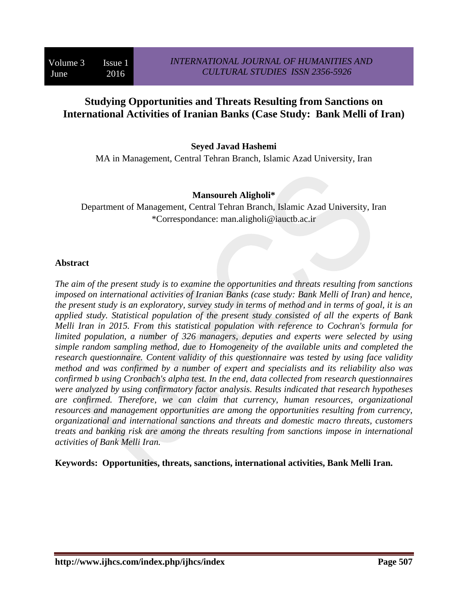# **Studying Opportunities and Threats Resulting from Sanctions on International Activities of Iranian Banks (Case Study: Bank Melli of Iran)**

### **Seyed Javad Hashemi**

MA in Management, Central Tehran Branch, Islamic Azad University, Iran

#### **Mansoureh Aligholi\***

Department of Management, Central Tehran Branch, Islamic Azad University, Iran \*Correspondance: man.aligholi@iauctb.ac.ir

#### **Abstract**

*The aim of the present study is to examine the opportunities and threats resulting from sanctions imposed on international activities of Iranian Banks (case study: Bank Melli of Iran) and hence, the present study is an exploratory, survey study in terms of method and in terms of goal, it is an applied study. Statistical population of the present study consisted of all the experts of Bank Melli Iran in 2015. From this statistical population with reference to Cochran's formula for limited population, a number of 326 managers, deputies and experts were selected by using simple random sampling method, due to Homogeneity of the available units and completed the research questionnaire. Content validity of this questionnaire was tested by using face validity method and was confirmed by a number of expert and specialists and its reliability also was confirmed b using Cronbach's alpha test. In the end, data collected from research questionnaires were analyzed by using confirmatory factor analysis. Results indicated that research hypotheses are confirmed. Therefore, we can claim that currency, human resources, organizational resources and management opportunities are among the opportunities resulting from currency, organizational and international sanctions and threats and domestic macro threats, customers treats and banking risk are among the threats resulting from sanctions impose in international activities of Bank Melli Iran.*

**Keywords: Opportunities, threats, sanctions, international activities, Bank Melli Iran.**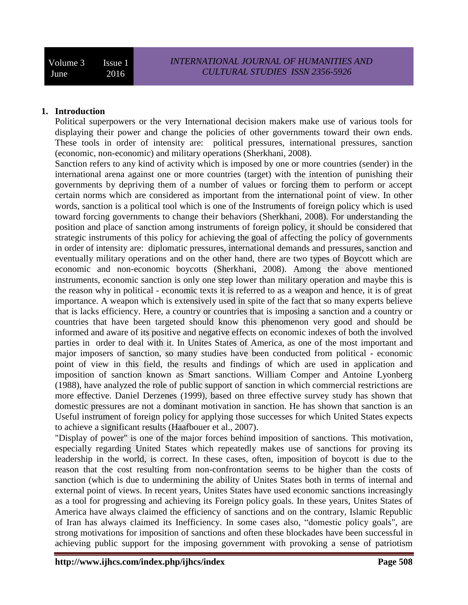### **1. Introduction**

Political superpowers or the very International decision makers make use of various tools for displaying their power and change the policies of other governments toward their own ends. These tools in order of intensity are: political pressures, international pressures, sanction (economic, non-economic) and military operations (Sherkhani, 2008).

Sanction refers to any kind of activity which is imposed by one or more countries (sender) in the international arena against one or more countries (target) with the intention of punishing their governments by depriving them of a number of values or forcing them to perform or accept certain norms which are considered as important from the international point of view. In other words, sanction is a political tool which is one of the Instruments of foreign policy which is used toward forcing governments to change their behaviors (Sherkhani, 2008). For understanding the position and place of sanction among instruments of foreign policy, it should be considered that strategic instruments of this policy for achieving the goal of affecting the policy of governments in order of intensity are: diplomatic pressures, international demands and pressures, sanction and eventually military operations and on the other hand, there are two types of Boycott which are economic and non-economic boycotts (Sherkhani, 2008). Among the above mentioned instruments, economic sanction is only one step lower than military operation and maybe this is the reason why in political - economic texts it is referred to as a weapon and hence, it is of great importance. A weapon which is extensively used in spite of the fact that so many experts believe that is lacks efficiency. Here, a country or countries that is imposing a sanction and a country or countries that have been targeted should know this phenomenon very good and should be informed and aware of its positive and negative effects on economic indexes of both the involved parties in order to deal with it. In Unites States of America, as one of the most important and major imposers of sanction, so many studies have been conducted from political - economic point of view in this field, the results and findings of which are used in application and imposition of sanction known as Smart sanctions. William Comper and Antoine Lyonberg (1988), have analyzed the role of public support of sanction in which commercial restrictions are more effective. Daniel Derzenes (1999), based on three effective survey study has shown that domestic pressures are not a dominant motivation in sanction. He has shown that sanction is an Useful instrument of foreign policy for applying those successes for which United States expects to achieve a significant results (Haafbouer et al., 2007).

"Display of power" is one of the major forces behind imposition of sanctions. This motivation, especially regarding United States which repeatedly makes use of sanctions for proving its leadership in the world, is correct. In these cases, often, imposition of boycott is due to the reason that the cost resulting from non-confrontation seems to be higher than the costs of sanction (which is due to undermining the ability of Unites States both in terms of internal and external point of views. In recent years, Unites States have used economic sanctions increasingly as a tool for progressing and achieving its Foreign policy goals. In these years, Unites States of America have always claimed the efficiency of sanctions and on the contrary, Islamic Republic of Iran has always claimed its Inefficiency. In some cases also, "domestic policy goals", are strong motivations for imposition of sanctions and often these blockades have been successful in achieving public support for the imposing government with provoking a sense of patriotism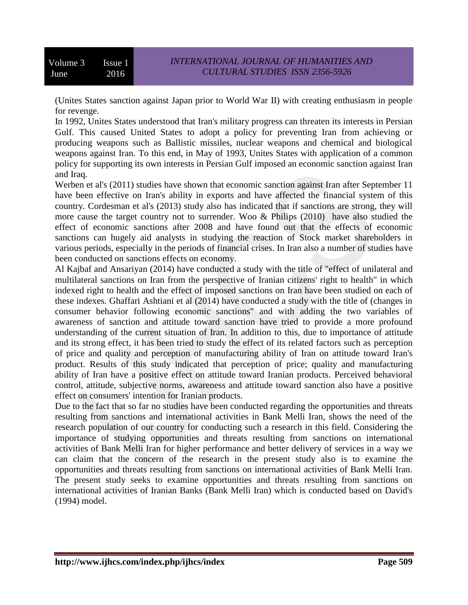(Unites States sanction against Japan prior to World War II) with creating enthusiasm in people for revenge.

In 1992, Unites States understood that Iran's military progress can threaten its interests in Persian Gulf. This caused United States to adopt a policy for preventing Iran from achieving or producing weapons such as Ballistic missiles, nuclear weapons and chemical and biological weapons against Iran. To this end, in May of 1993, Unites States with application of a common policy for supporting its own interests in Persian Gulf imposed an economic sanction against Iran and Iraq.

Werben et al's (2011) studies have shown that economic sanction against Iran after September 11 have been effective on Iran's ability in exports and have affected the financial system of this country. Cordesman et al's (2013) study also has indicated that if sanctions are strong, they will more cause the target country not to surrender. Woo & Philips (2010) have also studied the effect of economic sanctions after 2008 and have found out that the effects of economic sanctions can hugely aid analysts in studying the reaction of Stock market shareholders in various periods, especially in the periods of financial crises. In Iran also a number of studies have been conducted on sanctions effects on economy.

Al Kajbaf and Ansariyan (2014) have conducted a study with the title of "effect of unilateral and multilateral sanctions on Iran from the perspective of Iranian citizens' right to health" in which indexed right to health and the effect of imposed sanctions on Iran have been studied on each of these indexes. Ghaffari Ashtiani et al (2014) have conducted a study with the title of (changes in consumer behavior following economic sanctions" and with adding the two variables of awareness of sanction and attitude toward sanction have tried to provide a more profound understanding of the current situation of Iran. In addition to this, due to importance of attitude and its strong effect, it has been tried to study the effect of its related factors such as perception of price and quality and perception of manufacturing ability of Iran on attitude toward Iran's product. Results of this study indicated that perception of price; quality and manufacturing ability of Iran have a positive effect on attitude toward Iranian products. Perceived behavioral control, attitude, subjective norms, awareness and attitude toward sanction also have a positive effect on consumers' intention for Iranian products.

Due to the fact that so far no studies have been conducted regarding the opportunities and threats resulting from sanctions and international activities in Bank Melli Iran, shows the need of the research population of our country for conducting such a research in this field. Considering the importance of studying opportunities and threats resulting from sanctions on international activities of Bank Melli Iran for higher performance and better delivery of services in a way we can claim that the concern of the research in the present study also is to examine the opportunities and threats resulting from sanctions on international activities of Bank Melli Iran. The present study seeks to examine opportunities and threats resulting from sanctions on international activities of Iranian Banks (Bank Melli Iran) which is conducted based on David's (1994) model.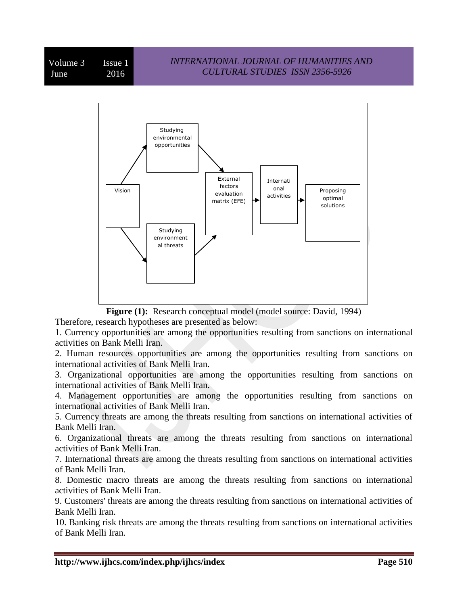

**Figure (1):** Research conceptual model (model source: David, 1994) Therefore, research hypotheses are presented as below:

1. Currency opportunities are among the opportunities resulting from sanctions on international activities on Bank Melli Iran.

2. Human resources opportunities are among the opportunities resulting from sanctions on international activities of Bank Melli Iran.

3. Organizational opportunities are among the opportunities resulting from sanctions on international activities of Bank Melli Iran.

4. Management opportunities are among the opportunities resulting from sanctions on international activities of Bank Melli Iran.

5. Currency threats are among the threats resulting from sanctions on international activities of Bank Melli Iran.

6. Organizational threats are among the threats resulting from sanctions on international activities of Bank Melli Iran.

7. International threats are among the threats resulting from sanctions on international activities of Bank Melli Iran.

8. Domestic macro threats are among the threats resulting from sanctions on international activities of Bank Melli Iran.

9. Customers' threats are among the threats resulting from sanctions on international activities of Bank Melli Iran.

10. Banking risk threats are among the threats resulting from sanctions on international activities of Bank Melli Iran.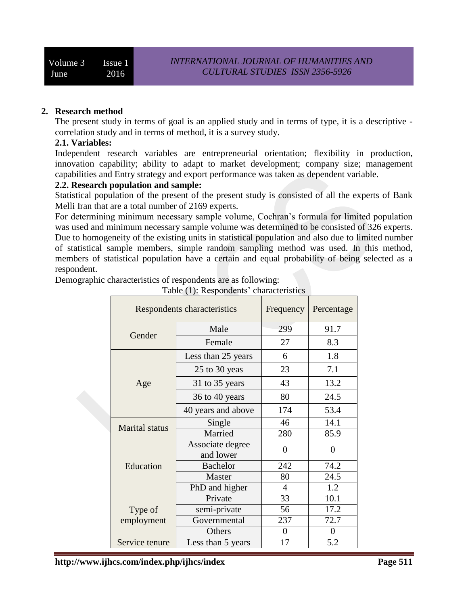### **2. Research method**

The present study in terms of goal is an applied study and in terms of type, it is a descriptive correlation study and in terms of method, it is a survey study.

#### **2.1. Variables:**

Independent research variables are entrepreneurial orientation; flexibility in production, innovation capability; ability to adapt to market development; company size; management capabilities and Entry strategy and export performance was taken as dependent variable.

#### **2.2. Research population and sample:**

Statistical population of the present of the present study is consisted of all the experts of Bank Melli Iran that are a total number of 2169 experts.

For determining minimum necessary sample volume, Cochran's formula for limited population was used and minimum necessary sample volume was determined to be consisted of 326 experts. Due to homogeneity of the existing units in statistical population and also due to limited number of statistical sample members, simple random sampling method was used. In this method, members of statistical population have a certain and equal probability of being selected as a respondent.

Demographic characteristics of respondents are as following:

|                       | Respondents characteristics   | Frequency | Percentage       |
|-----------------------|-------------------------------|-----------|------------------|
|                       | Male                          | 299       | 91.7             |
| Gender                | Female                        | 27        | 8.3              |
|                       | Less than 25 years            | 6         | 1.8              |
|                       | 25 to 30 yeas                 | 23        | 7.1              |
| Age                   | 31 to 35 years                | 43        | 13.2             |
|                       | 36 to 40 years                | 80        | 24.5             |
|                       | 40 years and above            | 174       | 53.4             |
|                       | Single                        | 46        | 14.1             |
| <b>Marital</b> status | Married                       | 280       | 85.9             |
|                       | Associate degree<br>and lower | $\theta$  | $\overline{0}$   |
| Education             | <b>Bachelor</b>               | 242       | 74.2             |
|                       | Master                        | 80        | 24.5             |
|                       | PhD and higher                | 4         | 1.2              |
|                       | Private                       | 33        | 10.1             |
| Type of               | semi-private                  | 56        | 17.2             |
| employment            | Governmental                  | 237       | 72.7             |
|                       | Others                        | 0         | $\boldsymbol{0}$ |
| Service tenure        | Less than 5 years             | 17        | 5.2              |

Table (1): Respondents' characteristics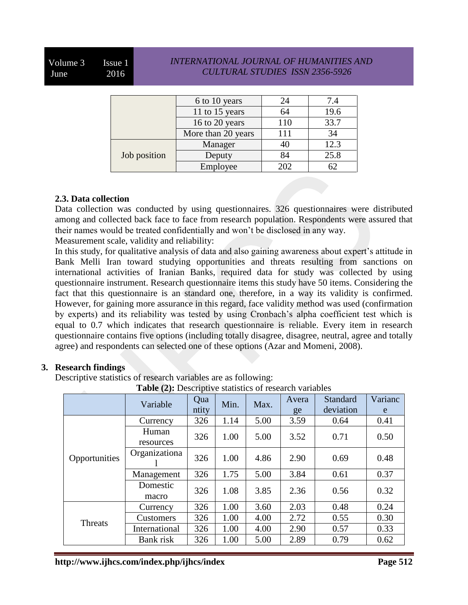Volume 3 Issue 1 June 2016

## *INTERNATIONAL JOURNAL OF HUMANITIES AND CULTURAL STUDIES ISSN 2356-5926*

|              | 6 to 10 years      |     | 7.4  |
|--------------|--------------------|-----|------|
|              | 11 to 15 years     | 64  | 19.6 |
|              | 16 to 20 years     | 110 | 33.7 |
|              | More than 20 years | 111 | 34   |
|              | Manager            |     | 12.3 |
| Job position | Deputy             | 84  | 25.8 |
|              | Employee           | 202 |      |

#### **2.3. Data collection**

Data collection was conducted by using questionnaires. 326 questionnaires were distributed among and collected back face to face from research population. Respondents were assured that their names would be treated confidentially and won't be disclosed in any way.

Measurement scale, validity and reliability:

In this study, for qualitative analysis of data and also gaining awareness about expert's attitude in Bank Melli Iran toward studying opportunities and threats resulting from sanctions on international activities of Iranian Banks, required data for study was collected by using questionnaire instrument. Research questionnaire items this study have 50 items. Considering the fact that this questionnaire is an standard one, therefore, in a way its validity is confirmed. However, for gaining more assurance in this regard, face validity method was used (confirmation by experts) and its reliability was tested by using Cronbach's alpha coefficient test which is equal to 0.7 which indicates that research questionnaire is reliable. Every item in research questionnaire contains five options (including totally disagree, disagree, neutral, agree and totally agree) and respondents can selected one of these options (Azar and Momeni, 2008).

## **3. Research findings**

Descriptive statistics of research variables are as following:

**Table (2):** Descriptive statistics of research variables

|                | Variable           | Qua<br>ntity | Min. | Max. | Avera<br>ge | Standard<br>deviation | Varianc<br>e |
|----------------|--------------------|--------------|------|------|-------------|-----------------------|--------------|
|                | Currency           | 326          | 1.14 | 5.00 | 3.59        | 0.64                  | 0.41         |
|                | Human<br>resources | 326          | 1.00 | 5.00 | 3.52        | 0.71                  | 0.50         |
| Opportunities  | Organizationa      | 326          | 1.00 | 4.86 | 2.90        | 0.69                  | 0.48         |
|                | Management         | 326          | 1.75 | 5.00 | 3.84        | 0.61                  | 0.37         |
|                | Domestic<br>macro  | 326          | 1.08 | 3.85 | 2.36        | 0.56                  | 0.32         |
| <b>Threats</b> | Currency           | 326          | 1.00 | 3.60 | 2.03        | 0.48                  | 0.24         |
|                | Customers          | 326          | 1.00 | 4.00 | 2.72        | 0.55                  | 0.30         |
|                | International      | 326          | 1.00 | 4.00 | 2.90        | 0.57                  | 0.33         |
|                | Bank risk          | 326          | 1.00 | 5.00 | 2.89        | 0.79                  | 0.62         |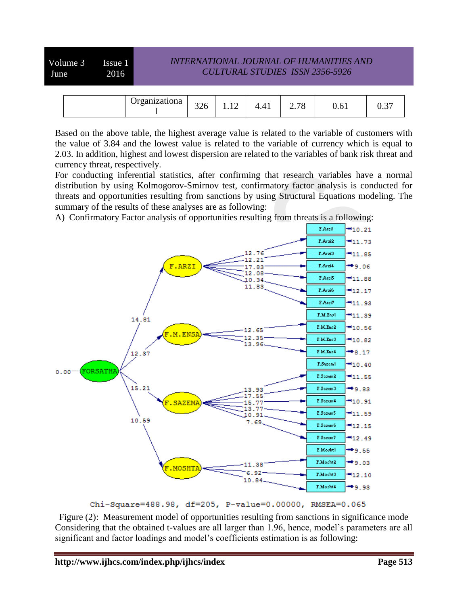Volume 3 Issue 1 June 2016

# *INTERNATIONAL JOURNAL OF HUMANITIES AND CULTURAL STUDIES ISSN 2356-5926*

| Jrganizationa | 226<br>ں∠ر | 1.IL | $\sqrt{1}$<br>$\prime$ .<br>. | 70<br>4. L O | 0.61 | u.J |
|---------------|------------|------|-------------------------------|--------------|------|-----|

Based on the above table, the highest average value is related to the variable of customers with the value of 3.84 and the lowest value is related to the variable of currency which is equal to 2.03. In addition, highest and lowest dispersion are related to the variables of bank risk threat and currency threat, respectively.

For conducting inferential statistics, after confirming that research variables have a normal distribution by using Kolmogorov-Smirnov test, confirmatory factor analysis is conducted for threats and opportunities resulting from sanctions by using Structural Equations modeling. The summary of the results of these analyses are as following:

A) Confirmatory Factor analysis of opportunities resulting from threats is a following:



Chi-Square=488.98, df=205, P-value=0.00000, RMSEA=0.065

Figure (2): Measurement model of opportunities resulting from sanctions in significance mode Considering that the obtained t-values are all larger than 1.96, hence, model's parameters are all significant and factor loadings and model's coefficients estimation is as following: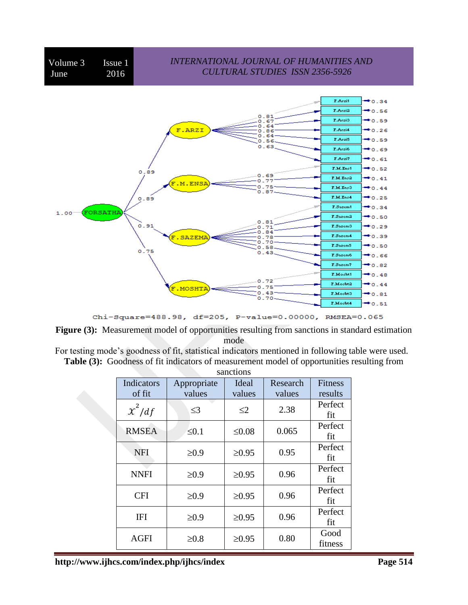

Chi-Square=488.98, df=205, P-value=0.00000, RMSEA=0.065

Figure (3): Measurement model of opportunities resulting from sanctions in standard estimation mode

|  |  |  | For testing mode's goodness of fit, statistical indicators mentioned in following table were used. |
|--|--|--|----------------------------------------------------------------------------------------------------|
|  |  |  | <b>Table (3):</b> Goodness of fit indicators of measurement model of opportunities resulting from  |

| sanctions    |                      |             |          |                |  |  |  |
|--------------|----------------------|-------------|----------|----------------|--|--|--|
| Indicators   | Ideal<br>Appropriate |             | Research | <b>Fitness</b> |  |  |  |
| of fit       | values               | values      | values   | results        |  |  |  |
| $\chi^2/df$  | $\leq$ 3             | $\leq$ 2    | 2.38     | Perfect        |  |  |  |
|              |                      |             |          | fit            |  |  |  |
| <b>RMSEA</b> | $\leq 0.1$           | $≤0.08$     | 0.065    | Perfect        |  |  |  |
|              |                      |             |          | fit            |  |  |  |
| <b>NFI</b>   | $\geq 0.9$           | $\geq 0.95$ | 0.95     | Perfect        |  |  |  |
|              |                      |             |          | fit            |  |  |  |
| <b>NNFI</b>  | $\geq 0.9$           | $\geq 0.95$ | 0.96     | Perfect        |  |  |  |
|              |                      |             |          | fit            |  |  |  |
| <b>CFI</b>   | $\geq 0.9$           | $\geq 0.95$ | 0.96     | Perfect        |  |  |  |
|              |                      |             |          | fit            |  |  |  |
| <b>IFI</b>   |                      |             | 0.96     | Perfect        |  |  |  |
|              | $\geq 0.9$           | $\geq 0.95$ |          | fit            |  |  |  |
| <b>AGFI</b>  | $\geq 0.8$           | $\geq 0.95$ | 0.80     | Good           |  |  |  |
|              |                      |             |          | fitness        |  |  |  |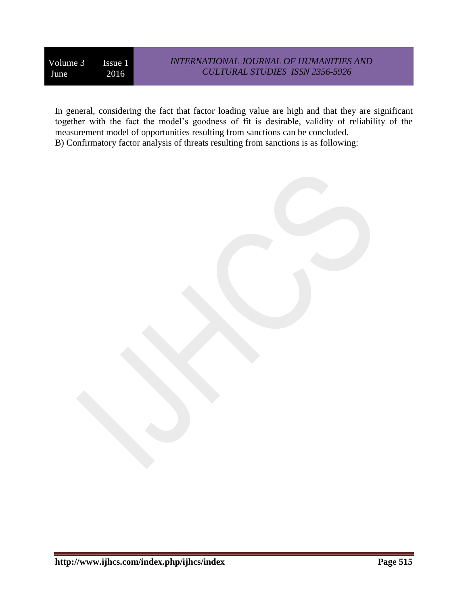In general, considering the fact that factor loading value are high and that they are significant together with the fact the model's goodness of fit is desirable, validity of reliability of the measurement model of opportunities resulting from sanctions can be concluded. B) Confirmatory factor analysis of threats resulting from sanctions is as following: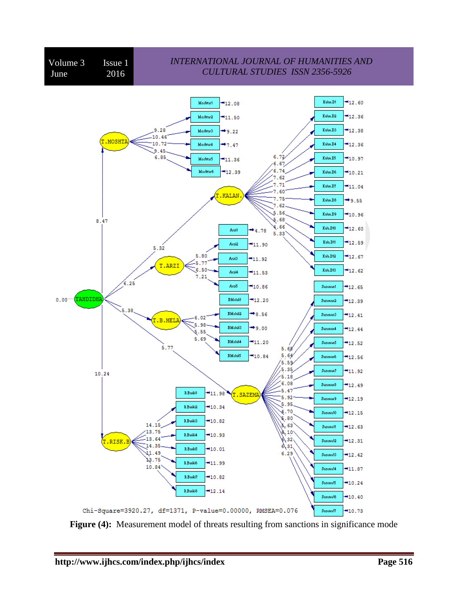

**Figure (4):** Measurement model of threats resulting from sanctions in significance mode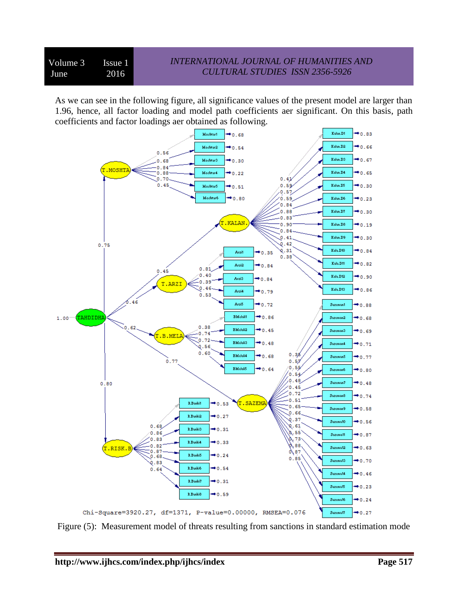As we can see in the following figure, all significance values of the present model are larger than 1.96, hence, all factor loading and model path coefficients aer significant. On this basis, path coefficients and factor loadings aer obtained as following.



Figure (5): Measurement model of threats resulting from sanctions in standard estimation mode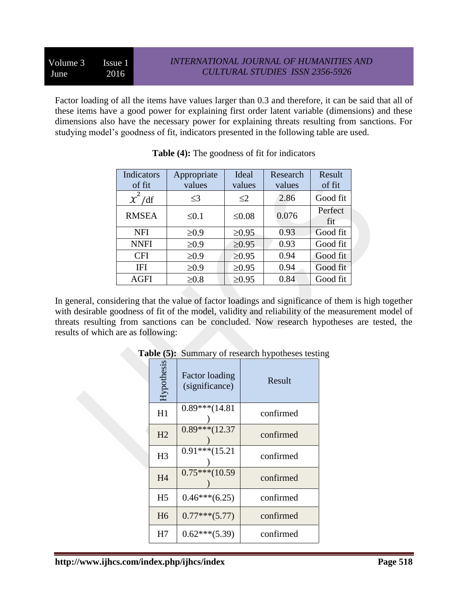Factor loading of all the items have values larger than 0.3 and therefore, it can be said that all of these items have a good power for explaining first order latent variable (dimensions) and these dimensions also have the necessary power for explaining threats resulting from sanctions. For studying model's goodness of fit, indicators presented in the following table are used.

| Indicators<br>of fit | Appropriate<br>values | Ideal<br>values | Research<br>values | Result<br>of fit |
|----------------------|-----------------------|-----------------|--------------------|------------------|
| $\chi^2$ /df         | $\leq$ 3              | $\leq$ 2        | 2.86               | Good fit         |
| <b>RMSEA</b>         | $\leq 0.1$            | $\leq 0.08$     | 0.076              | Perfect<br>fit   |
| <b>NFI</b>           | $\geq 0.9$            | $\geq 0.95$     | 0.93               | Good fit         |
| <b>NNFI</b>          | $\geq 0.9$            | $\geq 0.95$     | 0.93               | Good fit         |
| <b>CFI</b>           | $\geq 0.9$            | $\geq 0.95$     | 0.94               | Good fit         |
| IFI                  | $\geq 0.9$            | $\geq 0.95$     | 0.94               | Good fit         |
| <b>AGFI</b>          | $\geq 0.8$            | $\geq 0.95$     | 0.84               | Good fit         |

|  |  | <b>Table (4):</b> The goodness of fit for indicators |
|--|--|------------------------------------------------------|
|--|--|------------------------------------------------------|

In general, considering that the value of factor loadings and significance of them is high together with desirable goodness of fit of the model, validity and reliability of the measurement model of threats resulting from sanctions can be concluded. Now research hypotheses are tested, the results of which are as following:

| Hypothesis     | <b>Factor loading</b><br>(significance) | Result    |
|----------------|-----------------------------------------|-----------|
| H1             | $0.89***$ (14.81)                       | confirmed |
| H <sub>2</sub> | $0.89***$ (12.37)                       | confirmed |
| H <sub>3</sub> | $0.91***$ (15.21                        | confirmed |
| H4             | $0.75***(10.59)$                        | confirmed |
| H <sub>5</sub> | $0.46***(6.25)$                         | confirmed |
| H <sub>6</sub> | $0.77***(5.77)$                         | confirmed |
| H7             | $0.62***(5.39)$                         | confirmed |

**Table (5):** Summary of research hypotheses testing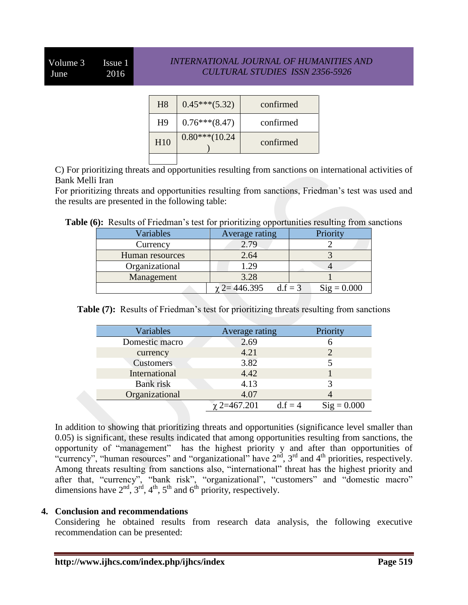# Volume 3 Issue 1 June 2016

## *INTERNATIONAL JOURNAL OF HUMANITIES AND CULTURAL STUDIES ISSN 2356-5926*

| H <sub>8</sub>  | $0.45***(5.32)$  | confirmed |
|-----------------|------------------|-----------|
| H <sup>9</sup>  | $0.76***$ (8.47) | confirmed |
| H <sub>10</sub> | $0.80***(10.24)$ | confirmed |
|                 |                  |           |

C) For prioritizing threats and opportunities resulting from sanctions on international activities of Bank Melli Iran

For prioritizing threats and opportunities resulting from sanctions, Friedman's test was used and the results are presented in the following table:

|  | Table (6): Results of Friedman's test for prioritizing opportunities resulting from sanctions |  |  |  |
|--|-----------------------------------------------------------------------------------------------|--|--|--|
|  |                                                                                               |  |  |  |

| Variables       | Average rating                   | Priority             |  |
|-----------------|----------------------------------|----------------------|--|
| Currency        | 2.79                             |                      |  |
| Human resources | 2.64                             |                      |  |
| Organizational  | .29                              |                      |  |
| Management      | 3.28                             |                      |  |
|                 | $\gamma$ 2= 446.395<br>$d.f = 3$ | $\text{Sig} = 0.000$ |  |

**Table (7):** Results of Friedman's test for prioritizing threats resulting from sanctions

| Variables        | Average rating   | Priority                   |
|------------------|------------------|----------------------------|
| Domestic macro   | 2.69             |                            |
| currency         | 4.21             |                            |
| <b>Customers</b> | 3.82             |                            |
| International    | 4.42             |                            |
| Bank risk        | 4.13             |                            |
| Organizational   | 4.07             |                            |
|                  | $\chi$ 2=467.201 | $Sig = 0.000$<br>$d.f = 4$ |

In addition to showing that prioritizing threats and opportunities (significance level smaller than 0.05) is significant, these results indicated that among opportunities resulting from sanctions, the opportunity of "management" has the highest priority y and after than opportunities of "currency", "human resources" and "organizational" have  $2<sup>nd</sup>$ ,  $3<sup>rd</sup>$  and  $4<sup>th</sup>$  priorities, respectively. Among threats resulting from sanctions also, "international" threat has the highest priority and after that, "currency", "bank risk", "organizational", "customers" and "domestic macro" dimensions have  $2<sup>nd</sup>$ ,  $3<sup>rd</sup>$ ,  $4<sup>th</sup>$ ,  $5<sup>th</sup>$  and  $6<sup>th</sup>$  priority, respectively.

#### **4. Conclusion and recommendations**

Considering he obtained results from research data analysis, the following executive recommendation can be presented: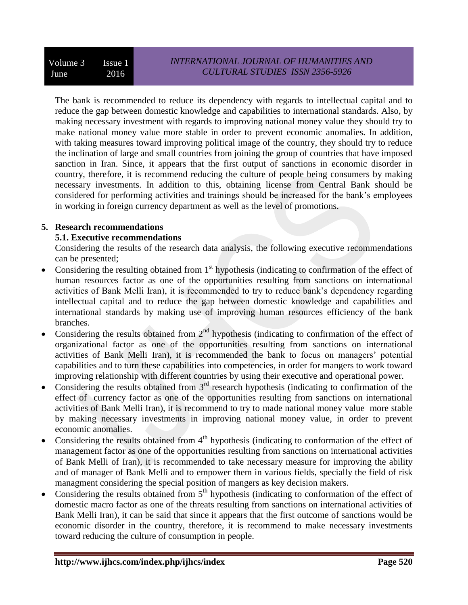The bank is recommended to reduce its dependency with regards to intellectual capital and to reduce the gap between domestic knowledge and capabilities to international standards. Also, by making necessary investment with regards to improving national money value they should try to make national money value more stable in order to prevent economic anomalies. In addition, with taking measures toward improving political image of the country, they should try to reduce the inclination of large and small countries from joining the group of countries that have imposed sanction in Iran. Since, it appears that the first output of sanctions in economic disorder in country, therefore, it is recommend reducing the culture of people being consumers by making necessary investments. In addition to this, obtaining license from Central Bank should be considered for performing activities and trainings should be increased for the bank's employees in working in foreign currency department as well as the level of promotions.

## **5. Research recommendations**

# **5.1. Executive recommendations**

Considering the results of the research data analysis, the following executive recommendations can be presented;

- Considering the resulting obtained from  $1<sup>st</sup>$  hypothesis (indicating to confirmation of the effect of human resources factor as one of the opportunities resulting from sanctions on international activities of Bank Melli Iran), it is recommended to try to reduce bank's dependency regarding intellectual capital and to reduce the gap between domestic knowledge and capabilities and international standards by making use of improving human resources efficiency of the bank branches.
- Considering the results obtained from  $2<sup>nd</sup>$  hypothesis (indicating to confirmation of the effect of organizational factor as one of the opportunities resulting from sanctions on international activities of Bank Melli Iran), it is recommended the bank to focus on managers' potential capabilities and to turn these capabilities into competencies, in order for mangers to work toward improving relationship with different countries by using their executive and operational power.
- Considering the results obtained from  $3<sup>rd</sup>$  research hypothesis (indicating to confirmation of the effect of currency factor as one of the opportunities resulting from sanctions on international activities of Bank Melli Iran), it is recommend to try to made national money value more stable by making necessary investments in improving national money value, in order to prevent economic anomalies.
- Considering the results obtained from  $4<sup>th</sup>$  hypothesis (indicating to conformation of the effect of management factor as one of the opportunities resulting from sanctions on international activities of Bank Melli of Iran), it is recommended to take necessary measure for improving the ability and of manager of Bank Melli and to empower them in various fields, specially the field of risk managment considering the special position of mangers as key decision makers.
- Considering the results obtained from  $5<sup>th</sup>$  hypothesis (indicating to conformation of the effect of domestic macro factor as one of the threats resulting from sanctions on international activities of Bank Melli Iran), it can be said that since it appears that the first outcome of sanctions would be economic disorder in the country, therefore, it is recommend to make necessary investments toward reducing the culture of consumption in people.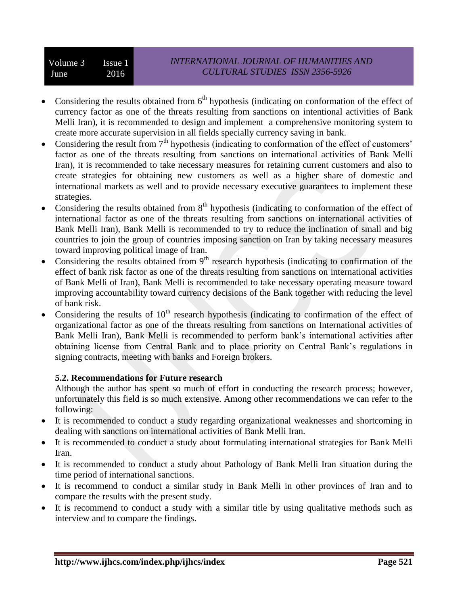- Considering the results obtained from  $6<sup>th</sup>$  hypothesis (indicating on conformation of the effect of currency factor as one of the threats resulting from sanctions on intentional activities of Bank Melli Iran), it is recommended to design and implement a comprehensive monitoring system to create more accurate supervision in all fields specially currency saving in bank.
- Considering the result from  $7<sup>th</sup>$  hypothesis (indicating to conformation of the effect of customers' factor as one of the threats resulting from sanctions on international activities of Bank Melli Iran), it is recommended to take necessary measures for retaining current customers and also to create strategies for obtaining new customers as well as a higher share of domestic and international markets as well and to provide necessary executive guarantees to implement these strategies.
- Considering the results obtained from  $8<sup>th</sup>$  hypothesis (indicating to conformation of the effect of international factor as one of the threats resulting from sanctions on international activities of Bank Melli Iran), Bank Melli is recommended to try to reduce the inclination of small and big countries to join the group of countries imposing sanction on Iran by taking necessary measures toward improving political image of Iran.
- Considering the results obtained from  $9<sup>th</sup>$  research hypothesis (indicating to confirmation of the effect of bank risk factor as one of the threats resulting from sanctions on international activities of Bank Melli of Iran), Bank Melli is recommended to take necessary operating measure toward improving accountability toward currency decisions of the Bank together with reducing the level of bank risk.
- Considering the results of 10<sup>th</sup> research hypothesis (indicating to confirmation of the effect of organizational factor as one of the threats resulting from sanctions on International activities of Bank Melli Iran), Bank Melli is recommended to perform bank's international activities after obtaining license from Central Bank and to place priority on Central Bank's regulations in signing contracts, meeting with banks and Foreign brokers.

## **5.2. Recommendations for Future research**

Although the author has spent so much of effort in conducting the research process; however, unfortunately this field is so much extensive. Among other recommendations we can refer to the following:

- It is recommended to conduct a study regarding organizational weaknesses and shortcoming in dealing with sanctions on international activities of Bank Melli Iran.
- It is recommended to conduct a study about formulating international strategies for Bank Melli Iran.
- It is recommended to conduct a study about Pathology of Bank Melli Iran situation during the time period of international sanctions.
- It is recommend to conduct a similar study in Bank Melli in other provinces of Iran and to compare the results with the present study.
- It is recommend to conduct a study with a similar title by using qualitative methods such as interview and to compare the findings.